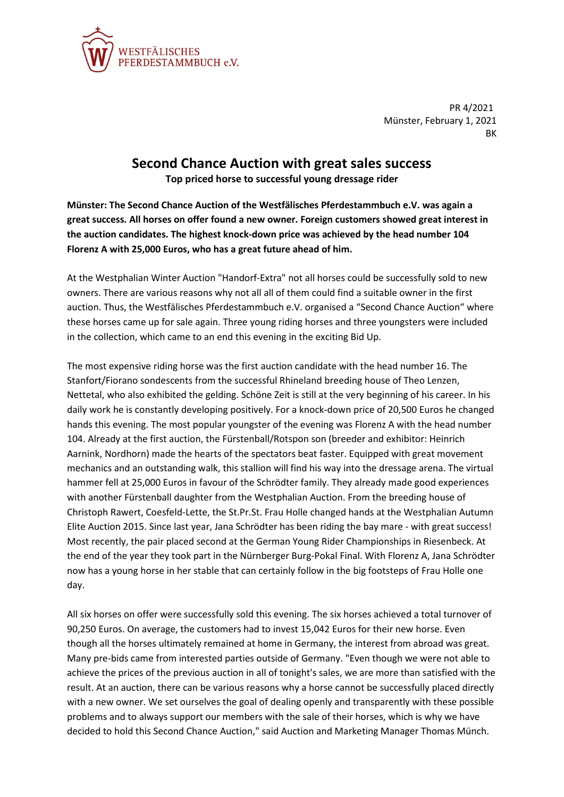

PR 4/2021 Münster, February 1, 2021 **RK** 

## **Second Chance Auction with great sales success**

**Top priced horse to successful young dressage rider**

**Münster: The Second Chance Auction of the Westfälisches Pferdestammbuch e.V. was again a great success. All horses on offer found a new owner. Foreign customers showed great interest in the auction candidates. The highest knock-down price was achieved by the head number 104 Florenz A with 25,000 Euros, who has a great future ahead of him.**

At the Westphalian Winter Auction "Handorf-Extra" not all horses could be successfully sold to new owners. There are various reasons why not all all of them could find a suitable owner in the first auction. Thus, the Westfälisches Pferdestammbuch e.V. organised a "Second Chance Auction" where these horses came up for sale again. Three young riding horses and three youngsters were included in the collection, which came to an end this evening in the exciting Bid Up.

The most expensive riding horse was the first auction candidate with the head number 16. The Stanfort/Fiorano sondescents from the successful Rhineland breeding house of Theo Lenzen, Nettetal, who also exhibited the gelding. Schöne Zeit is still at the very beginning of his career. In his daily work he is constantly developing positively. For a knock-down price of 20,500 Euros he changed hands this evening. The most popular youngster of the evening was Florenz A with the head number 104. Already at the first auction, the Fürstenball/Rotspon son (breeder and exhibitor: Heinrich Aarnink, Nordhorn) made the hearts of the spectators beat faster. Equipped with great movement mechanics and an outstanding walk, this stallion will find his way into the dressage arena. The virtual hammer fell at 25,000 Euros in favour of the Schrödter family. They already made good experiences with another Fürstenball daughter from the Westphalian Auction. From the breeding house of Christoph Rawert, Coesfeld-Lette, the St.Pr.St. Frau Holle changed hands at the Westphalian Autumn Elite Auction 2015. Since last year, Jana Schrödter has been riding the bay mare - with great success! Most recently, the pair placed second at the German Young Rider Championships in Riesenbeck. At the end of the year they took part in the Nürnberger Burg-Pokal Final. With Florenz A, Jana Schrödter now has a young horse in her stable that can certainly follow in the big footsteps of Frau Holle one day.

All six horses on offer were successfully sold this evening. The six horses achieved a total turnover of 90,250 Euros. On average, the customers had to invest 15,042 Euros for their new horse. Even though all the horses ultimately remained at home in Germany, the interest from abroad was great. Many pre-bids came from interested parties outside of Germany. "Even though we were not able to achieve the prices of the previous auction in all of tonight's sales, we are more than satisfied with the result. At an auction, there can be various reasons why a horse cannot be successfully placed directly with a new owner. We set ourselves the goal of dealing openly and transparently with these possible problems and to always support our members with the sale of their horses, which is why we have decided to hold this Second Chance Auction," said Auction and Marketing Manager Thomas Münch.